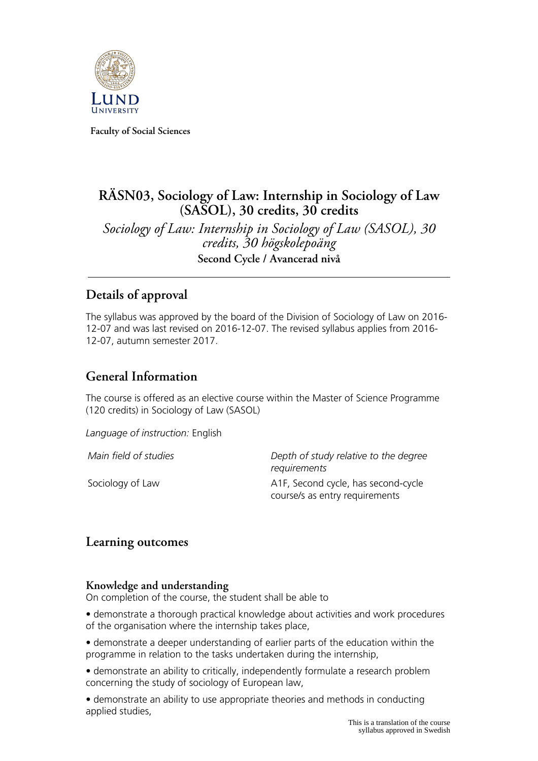

**Faculty of Social Sciences**

# **RÄSN03, Sociology of Law: Internship in Sociology of Law (SASOL), 30 credits, 30 credits**

*Sociology of Law: Internship in Sociology of Law (SASOL), 30 credits, 30 högskolepoäng* **Second Cycle / Avancerad nivå**

## **Details of approval**

The syllabus was approved by the board of the Division of Sociology of Law on 2016- 12-07 and was last revised on 2016-12-07. The revised syllabus applies from 2016- 12-07, autumn semester 2017.

# **General Information**

The course is offered as an elective course within the Master of Science Programme (120 credits) in Sociology of Law (SASOL)

*Language of instruction:* English

*Main field of studies Depth of study relative to the degree requirements* Sociology of Law A1F, Second cycle, has second-cycle course/s as entry requirements

### **Learning outcomes**

#### **Knowledge and understanding**

On completion of the course, the student shall be able to

• demonstrate a thorough practical knowledge about activities and work procedures of the organisation where the internship takes place,

• demonstrate a deeper understanding of earlier parts of the education within the programme in relation to the tasks undertaken during the internship,

• demonstrate an ability to critically, independently formulate a research problem concerning the study of sociology of European law,

• demonstrate an ability to use appropriate theories and methods in conducting applied studies,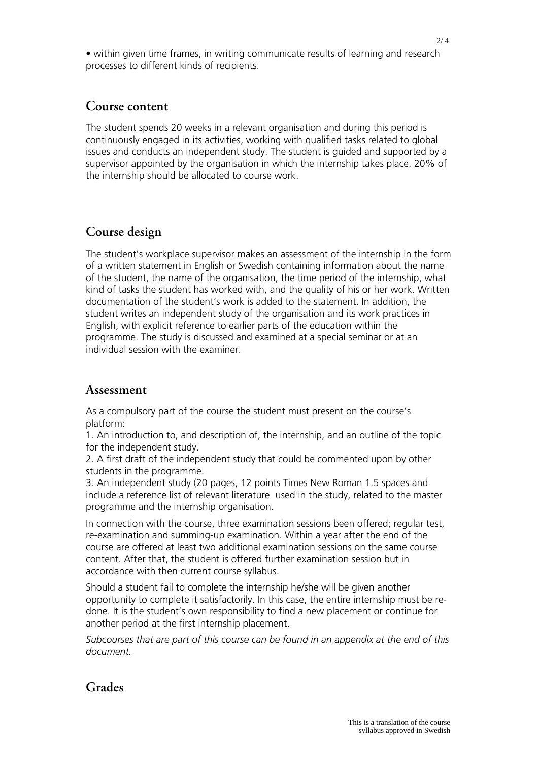• within given time frames, in writing communicate results of learning and research processes to different kinds of recipients.

#### **Course content**

The student spends 20 weeks in a relevant organisation and during this period is continuously engaged in its activities, working with qualified tasks related to global issues and conducts an independent study. The student is guided and supported by a supervisor appointed by the organisation in which the internship takes place. 20% of the internship should be allocated to course work.

### **Course design**

The student's workplace supervisor makes an assessment of the internship in the form of a written statement in English or Swedish containing information about the name of the student, the name of the organisation, the time period of the internship, what kind of tasks the student has worked with, and the quality of his or her work. Written documentation of the student's work is added to the statement. In addition, the student writes an independent study of the organisation and its work practices in English, with explicit reference to earlier parts of the education within the programme. The study is discussed and examined at a special seminar or at an individual session with the examiner.

#### **Assessment**

As a compulsory part of the course the student must present on the course's platform:

1. An introduction to, and description of, the internship, and an outline of the topic for the independent study.

2. A first draft of the independent study that could be commented upon by other students in the programme.

3. An independent study (20 pages, 12 points Times New Roman 1.5 spaces and include a reference list of relevant literature used in the study, related to the master programme and the internship organisation.

In connection with the course, three examination sessions been offered; regular test, re-examination and summing-up examination. Within a year after the end of the course are offered at least two additional examination sessions on the same course content. After that, the student is offered further examination session but in accordance with then current course syllabus.

Should a student fail to complete the internship he/she will be given another opportunity to complete it satisfactorily. In this case, the entire internship must be redone. It is the student's own responsibility to find a new placement or continue for another period at the first internship placement.

*Subcourses that are part of this course can be found in an appendix at the end of this document.*

### **Grades**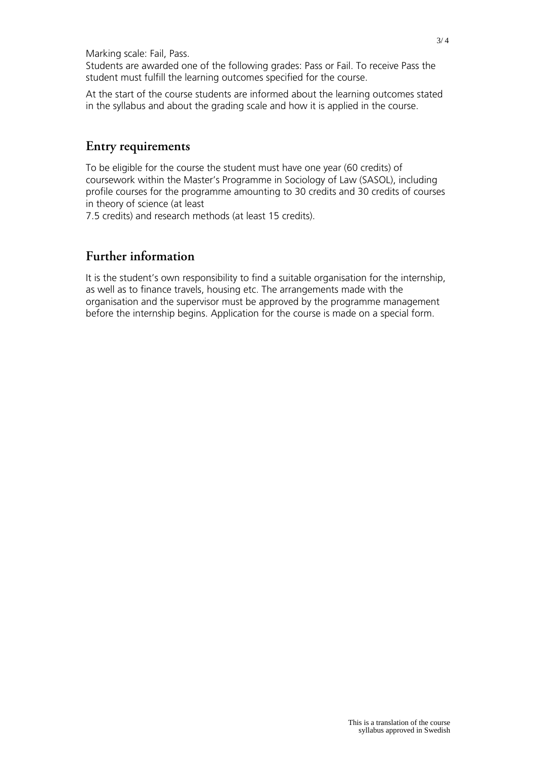Marking scale: Fail, Pass.

Students are awarded one of the following grades: Pass or Fail. To receive Pass the student must fulfill the learning outcomes specified for the course.

At the start of the course students are informed about the learning outcomes stated in the syllabus and about the grading scale and how it is applied in the course.

#### **Entry requirements**

To be eligible for the course the student must have one year (60 credits) of coursework within the Master's Programme in Sociology of Law (SASOL), including profile courses for the programme amounting to 30 credits and 30 credits of courses in theory of science (at least

7.5 credits) and research methods (at least 15 credits).

### **Further information**

It is the student's own responsibility to find a suitable organisation for the internship, as well as to finance travels, housing etc. The arrangements made with the organisation and the supervisor must be approved by the programme management before the internship begins. Application for the course is made on a special form.